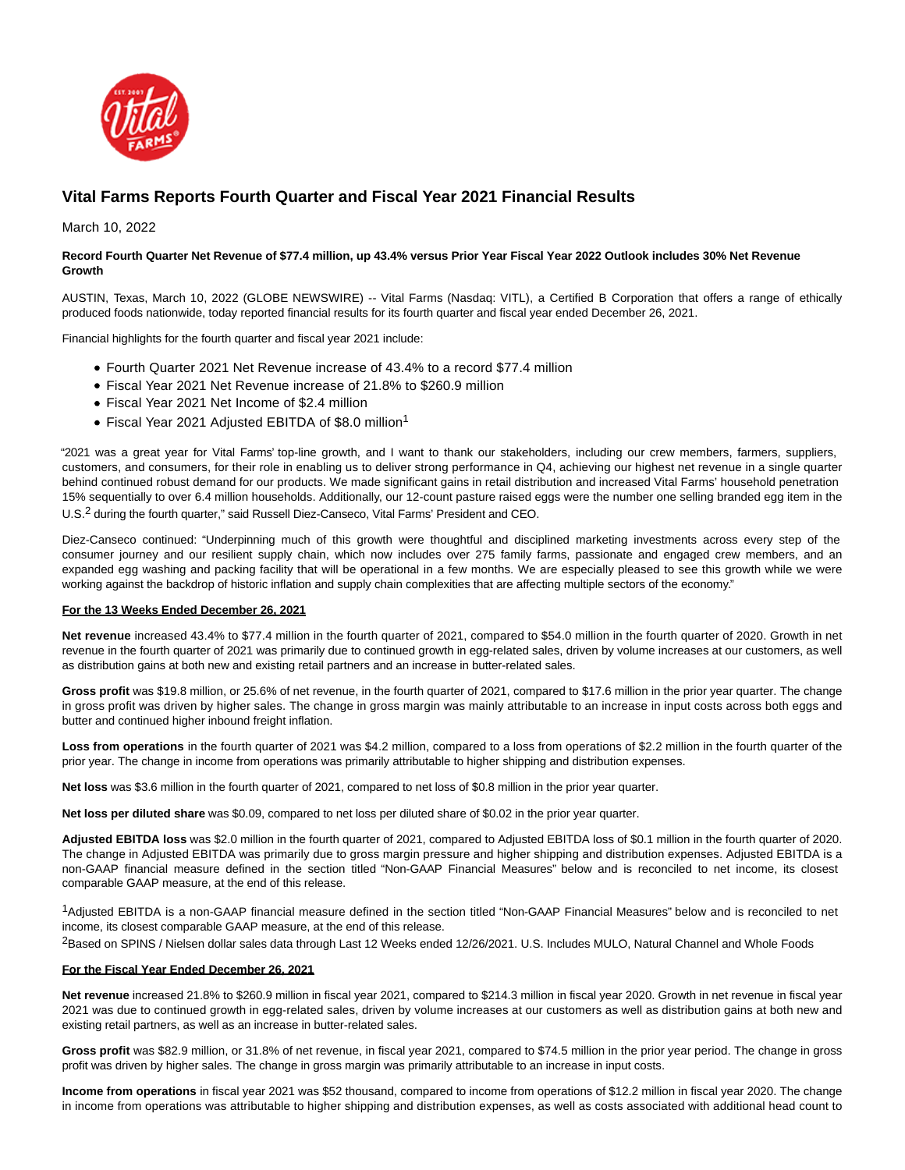

# **Vital Farms Reports Fourth Quarter and Fiscal Year 2021 Financial Results**

March 10, 2022

## **Record Fourth Quarter Net Revenue of \$77.4 million, up 43.4% versus Prior Year Fiscal Year 2022 Outlook includes 30% Net Revenue Growth**

AUSTIN, Texas, March 10, 2022 (GLOBE NEWSWIRE) -- Vital Farms (Nasdaq: VITL), a Certified B Corporation that offers a range of ethically produced foods nationwide, today reported financial results for its fourth quarter and fiscal year ended December 26, 2021.

Financial highlights for the fourth quarter and fiscal year 2021 include:

- Fourth Quarter 2021 Net Revenue increase of 43.4% to a record \$77.4 million
- Fiscal Year 2021 Net Revenue increase of 21.8% to \$260.9 million
- Fiscal Year 2021 Net Income of \$2.4 million
- Fiscal Year 2021 Adjusted EBITDA of \$8.0 million<sup>1</sup>

"2021 was a great year for Vital Farms' top-line growth, and I want to thank our stakeholders, including our crew members, farmers, suppliers, customers, and consumers, for their role in enabling us to deliver strong performance in Q4, achieving our highest net revenue in a single quarter behind continued robust demand for our products. We made significant gains in retail distribution and increased Vital Farms' household penetration 15% sequentially to over 6.4 million households. Additionally, our 12-count pasture raised eggs were the number one selling branded egg item in the U.S.<sup>2</sup> during the fourth quarter," said Russell Diez-Canseco, Vital Farms' President and CEO.

Diez-Canseco continued: "Underpinning much of this growth were thoughtful and disciplined marketing investments across every step of the consumer journey and our resilient supply chain, which now includes over 275 family farms, passionate and engaged crew members, and an expanded egg washing and packing facility that will be operational in a few months. We are especially pleased to see this growth while we were working against the backdrop of historic inflation and supply chain complexities that are affecting multiple sectors of the economy."

## **For the 13 Weeks Ended December 26, 2021**

**Net revenue** increased 43.4% to \$77.4 million in the fourth quarter of 2021, compared to \$54.0 million in the fourth quarter of 2020. Growth in net revenue in the fourth quarter of 2021 was primarily due to continued growth in egg-related sales, driven by volume increases at our customers, as well as distribution gains at both new and existing retail partners and an increase in butter-related sales.

**Gross profit** was \$19.8 million, or 25.6% of net revenue, in the fourth quarter of 2021, compared to \$17.6 million in the prior year quarter. The change in gross profit was driven by higher sales. The change in gross margin was mainly attributable to an increase in input costs across both eggs and butter and continued higher inbound freight inflation.

**Loss from operations** in the fourth quarter of 2021 was \$4.2 million, compared to a loss from operations of \$2.2 million in the fourth quarter of the prior year. The change in income from operations was primarily attributable to higher shipping and distribution expenses.

**Net loss** was \$3.6 million in the fourth quarter of 2021, compared to net loss of \$0.8 million in the prior year quarter.

**Net loss per diluted share** was \$0.09, compared to net loss per diluted share of \$0.02 in the prior year quarter.

**Adjusted EBITDA loss** was \$2.0 million in the fourth quarter of 2021, compared to Adjusted EBITDA loss of \$0.1 million in the fourth quarter of 2020. The change in Adjusted EBITDA was primarily due to gross margin pressure and higher shipping and distribution expenses. Adjusted EBITDA is a non-GAAP financial measure defined in the section titled "Non-GAAP Financial Measures" below and is reconciled to net income, its closest comparable GAAP measure, at the end of this release.

1Adjusted EBITDA is a non-GAAP financial measure defined in the section titled "Non-GAAP Financial Measures" below and is reconciled to net income, its closest comparable GAAP measure, at the end of this release.

<sup>2</sup>Based on SPINS / Nielsen dollar sales data through Last 12 Weeks ended 12/26/2021. U.S. Includes MULO, Natural Channel and Whole Foods

## **For the Fiscal Year Ended December 26, 2021**

**Net revenue** increased 21.8% to \$260.9 million in fiscal year 2021, compared to \$214.3 million in fiscal year 2020. Growth in net revenue in fiscal year 2021 was due to continued growth in egg-related sales, driven by volume increases at our customers as well as distribution gains at both new and existing retail partners, as well as an increase in butter-related sales.

**Gross profit** was \$82.9 million, or 31.8% of net revenue, in fiscal year 2021, compared to \$74.5 million in the prior year period. The change in gross profit was driven by higher sales. The change in gross margin was primarily attributable to an increase in input costs.

**Income from operations** in fiscal year 2021 was \$52 thousand, compared to income from operations of \$12.2 million in fiscal year 2020. The change in income from operations was attributable to higher shipping and distribution expenses, as well as costs associated with additional head count to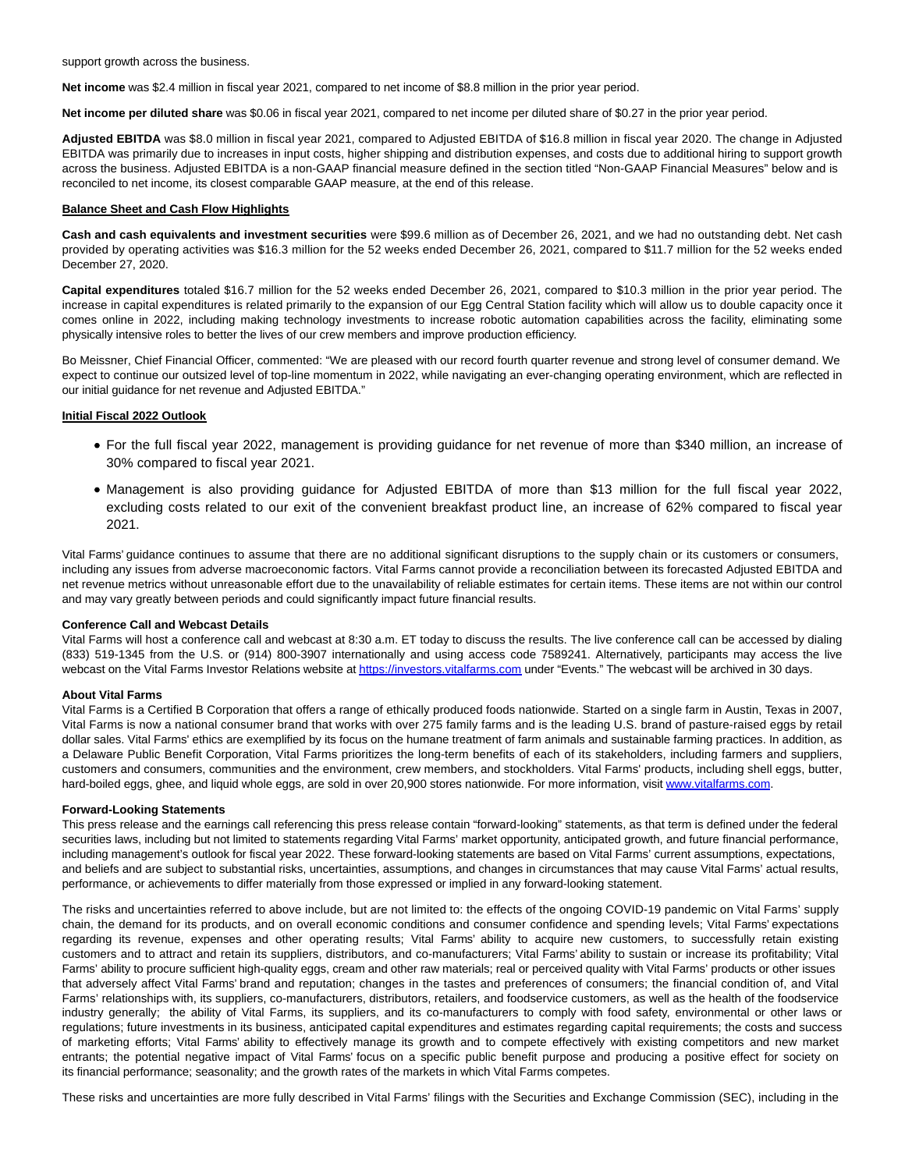support growth across the business.

**Net income** was \$2.4 million in fiscal year 2021, compared to net income of \$8.8 million in the prior year period.

**Net income per diluted share** was \$0.06 in fiscal year 2021, compared to net income per diluted share of \$0.27 in the prior year period.

**Adjusted EBITDA** was \$8.0 million in fiscal year 2021, compared to Adjusted EBITDA of \$16.8 million in fiscal year 2020. The change in Adjusted EBITDA was primarily due to increases in input costs, higher shipping and distribution expenses, and costs due to additional hiring to support growth across the business. Adjusted EBITDA is a non-GAAP financial measure defined in the section titled "Non-GAAP Financial Measures" below and is reconciled to net income, its closest comparable GAAP measure, at the end of this release.

#### **Balance Sheet and Cash Flow Highlights**

**Cash and cash equivalents and investment securities** were \$99.6 million as of December 26, 2021, and we had no outstanding debt. Net cash provided by operating activities was \$16.3 million for the 52 weeks ended December 26, 2021, compared to \$11.7 million for the 52 weeks ended December 27, 2020.

**Capital expenditures** totaled \$16.7 million for the 52 weeks ended December 26, 2021, compared to \$10.3 million in the prior year period. The increase in capital expenditures is related primarily to the expansion of our Egg Central Station facility which will allow us to double capacity once it comes online in 2022, including making technology investments to increase robotic automation capabilities across the facility, eliminating some physically intensive roles to better the lives of our crew members and improve production efficiency.

Bo Meissner, Chief Financial Officer, commented: "We are pleased with our record fourth quarter revenue and strong level of consumer demand. We expect to continue our outsized level of top-line momentum in 2022, while navigating an ever-changing operating environment, which are reflected in our initial guidance for net revenue and Adjusted EBITDA."

#### **Initial Fiscal 2022 Outlook**

- For the full fiscal year 2022, management is providing guidance for net revenue of more than \$340 million, an increase of 30% compared to fiscal year 2021.
- Management is also providing guidance for Adjusted EBITDA of more than \$13 million for the full fiscal year 2022, excluding costs related to our exit of the convenient breakfast product line, an increase of 62% compared to fiscal year 2021.

Vital Farms' guidance continues to assume that there are no additional significant disruptions to the supply chain or its customers or consumers, including any issues from adverse macroeconomic factors. Vital Farms cannot provide a reconciliation between its forecasted Adjusted EBITDA and net revenue metrics without unreasonable effort due to the unavailability of reliable estimates for certain items. These items are not within our control and may vary greatly between periods and could significantly impact future financial results.

#### **Conference Call and Webcast Details**

Vital Farms will host a conference call and webcast at 8:30 a.m. ET today to discuss the results. The live conference call can be accessed by dialing (833) 519-1345 from the U.S. or (914) 800-3907 internationally and using access code 7589241. Alternatively, participants may access the live webcast on the Vital Farms Investor Relations website a[t https://investors.vitalfarms.com u](https://www.globenewswire.com/Tracker?data=KeBc_o3Q7ydW1T27Z5lQL-K8UVyHg1VBmx3Ae9bwmSQ01LwgA7wMIAGuMopBT_N_JTixm1AHlmZv7cGgEm9sZ1zhu6B5ayD7V1OaJNqePCCcc_iEqhWCrNa2bhSqC90j)nder "Events." The webcast will be archived in 30 days.

## **About Vital Farms**

Vital Farms is a Certified B Corporation that offers a range of ethically produced foods nationwide. Started on a single farm in Austin, Texas in 2007, Vital Farms is now a national consumer brand that works with over 275 family farms and is the leading U.S. brand of pasture-raised eggs by retail dollar sales. Vital Farms' ethics are exemplified by its focus on the humane treatment of farm animals and sustainable farming practices. In addition, as a Delaware Public Benefit Corporation, Vital Farms prioritizes the long-term benefits of each of its stakeholders, including farmers and suppliers, customers and consumers, communities and the environment, crew members, and stockholders. Vital Farms' products, including shell eggs, butter, hard-boiled eggs, ghee, and liquid whole eggs, are sold in over 20,900 stores nationwide. For more information, visit [www.vitalfarms.com.](https://www.globenewswire.com/Tracker?data=ezgIykcXYRZDtbjpZPlIzz_763HkByPrAIj5jVqrEIZV2yDJLJZ6zwOelcyUa0mezpTgeTFkwpSCneiXnQK7MutChsCBQCrIF3j3BzDpSx0=)

#### **Forward-Looking Statements**

This press release and the earnings call referencing this press release contain "forward-looking" statements, as that term is defined under the federal securities laws, including but not limited to statements regarding Vital Farms' market opportunity, anticipated growth, and future financial performance, including management's outlook for fiscal year 2022. These forward-looking statements are based on Vital Farms' current assumptions, expectations, and beliefs and are subject to substantial risks, uncertainties, assumptions, and changes in circumstances that may cause Vital Farms' actual results, performance, or achievements to differ materially from those expressed or implied in any forward-looking statement.

The risks and uncertainties referred to above include, but are not limited to: the effects of the ongoing COVID-19 pandemic on Vital Farms' supply chain, the demand for its products, and on overall economic conditions and consumer confidence and spending levels; Vital Farms' expectations regarding its revenue, expenses and other operating results; Vital Farms' ability to acquire new customers, to successfully retain existing customers and to attract and retain its suppliers, distributors, and co-manufacturers; Vital Farms' ability to sustain or increase its profitability; Vital Farms' ability to procure sufficient high-quality eggs, cream and other raw materials; real or perceived quality with Vital Farms' products or other issues that adversely affect Vital Farms' brand and reputation; changes in the tastes and preferences of consumers; the financial condition of, and Vital Farms' relationships with, its suppliers, co-manufacturers, distributors, retailers, and foodservice customers, as well as the health of the foodservice industry generally; the ability of Vital Farms, its suppliers, and its co-manufacturers to comply with food safety, environmental or other laws or regulations; future investments in its business, anticipated capital expenditures and estimates regarding capital requirements; the costs and success of marketing efforts; Vital Farms' ability to effectively manage its growth and to compete effectively with existing competitors and new market entrants; the potential negative impact of Vital Farms' focus on a specific public benefit purpose and producing a positive effect for society on its financial performance; seasonality; and the growth rates of the markets in which Vital Farms competes.

These risks and uncertainties are more fully described in Vital Farms' filings with the Securities and Exchange Commission (SEC), including in the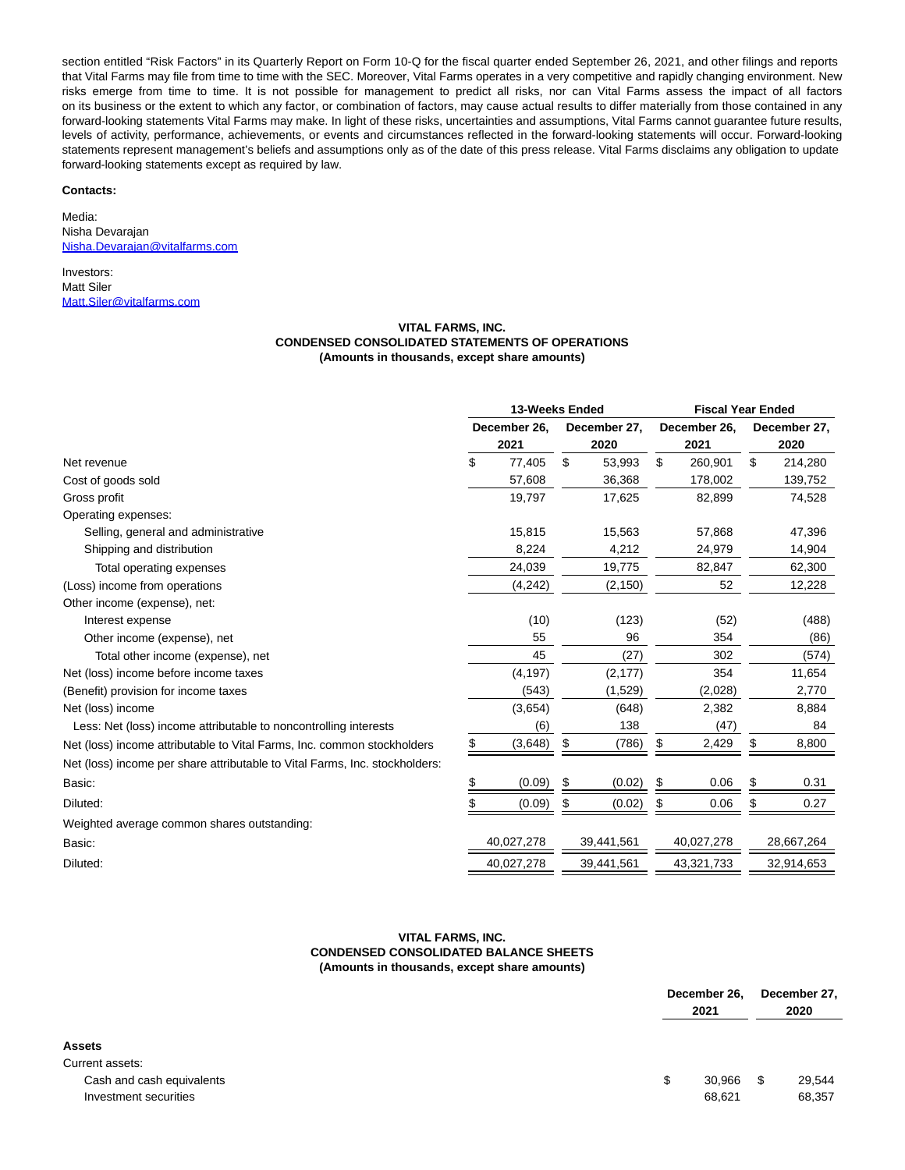section entitled "Risk Factors" in its Quarterly Report on Form 10-Q for the fiscal quarter ended September 26, 2021, and other filings and reports that Vital Farms may file from time to time with the SEC. Moreover, Vital Farms operates in a very competitive and rapidly changing environment. New risks emerge from time to time. It is not possible for management to predict all risks, nor can Vital Farms assess the impact of all factors on its business or the extent to which any factor, or combination of factors, may cause actual results to differ materially from those contained in any forward-looking statements Vital Farms may make. In light of these risks, uncertainties and assumptions, Vital Farms cannot guarantee future results, levels of activity, performance, achievements, or events and circumstances reflected in the forward-looking statements will occur. Forward-looking statements represent management's beliefs and assumptions only as of the date of this press release. Vital Farms disclaims any obligation to update forward-looking statements except as required by law.

#### **Contacts:**

Media: Nisha Devarajan [Nisha.Devarajan@vitalfarms.com](https://www.globenewswire.com/Tracker?data=ZNKfiDzYrgkziiaeG42OcPtjNrDeZnxjtfp8EJIItY94dK1DRlI4r5N9WMzbwMr0YL--A_JFEEEGmPoqVxyLlt72Uton2PLmcU08o7ds1KWnmpJ2E4IxSgUwqlEYEBah)

Investors: Matt Siler [Matt.Siler@vitalfarms.com](https://www.globenewswire.com/Tracker?data=yPdiFBUuZsTnUpflV42p_GuK0zSIsNV7icV_TbaIMNFoXC4KhP7XemZ-8wjWkLQHe6ys5ds28yjyTvCQ_3JFZrqL-3_ROGOlPKxUpibyWu0=)

## **VITAL FARMS, INC. CONDENSED CONSOLIDATED STATEMENTS OF OPERATIONS (Amounts in thousands, except share amounts)**

|                                                                             | 13-Weeks Ended |            |              |            | <b>Fiscal Year Ended</b> |            |              |            |
|-----------------------------------------------------------------------------|----------------|------------|--------------|------------|--------------------------|------------|--------------|------------|
|                                                                             | December 26.   |            | December 27, |            | December 26,             |            | December 27, |            |
|                                                                             | 2021           |            | 2020         |            | 2021                     |            | 2020         |            |
| Net revenue                                                                 | \$             | 77,405     | \$           | 53,993     | \$                       | 260,901    | \$           | 214,280    |
| Cost of goods sold                                                          |                | 57,608     |              | 36,368     |                          | 178,002    |              | 139,752    |
| Gross profit                                                                |                | 19,797     |              | 17,625     |                          | 82,899     |              | 74,528     |
| Operating expenses:                                                         |                |            |              |            |                          |            |              |            |
| Selling, general and administrative                                         |                | 15,815     |              | 15,563     |                          | 57,868     |              | 47,396     |
| Shipping and distribution                                                   |                | 8,224      |              | 4,212      |                          | 24,979     |              | 14,904     |
| Total operating expenses                                                    |                | 24,039     |              | 19,775     |                          | 82,847     |              | 62,300     |
| (Loss) income from operations                                               |                | (4, 242)   |              | (2, 150)   |                          | 52         |              | 12,228     |
| Other income (expense), net:                                                |                |            |              |            |                          |            |              |            |
| Interest expense                                                            |                | (10)       |              | (123)      |                          | (52)       |              | (488)      |
| Other income (expense), net                                                 |                | 55         |              | 96         |                          | 354        |              | (86)       |
| Total other income (expense), net                                           |                | 45         |              | (27)       |                          | 302        |              | (574)      |
| Net (loss) income before income taxes                                       |                | (4, 197)   |              | (2, 177)   |                          | 354        |              | 11,654     |
| (Benefit) provision for income taxes                                        |                | (543)      |              | (1,529)    |                          | (2,028)    |              | 2,770      |
| Net (loss) income                                                           |                | (3,654)    |              | (648)      |                          | 2,382      |              | 8,884      |
| Less: Net (loss) income attributable to noncontrolling interests            |                | (6)        |              | 138        |                          | (47)       |              | 84         |
| Net (loss) income attributable to Vital Farms, Inc. common stockholders     | \$             | (3,648)    | \$           | (786)      | \$                       | 2,429      | S            | 8,800      |
| Net (loss) income per share attributable to Vital Farms, Inc. stockholders: |                |            |              |            |                          |            |              |            |
| Basic:                                                                      | \$             | (0.09)     | S            | (0.02)     | \$                       | 0.06       |              | 0.31       |
| Diluted:                                                                    |                | (0.09)     | \$           | (0.02)     | \$                       | 0.06       | \$           | 0.27       |
| Weighted average common shares outstanding:                                 |                |            |              |            |                          |            |              |            |
| Basic:                                                                      |                | 40,027,278 |              | 39,441,561 |                          | 40,027,278 |              | 28,667,264 |
| Diluted:                                                                    |                | 40,027,278 |              | 39,441,561 |                          | 43,321,733 |              | 32,914,653 |

## **VITAL FARMS, INC. CONDENSED CONSOLIDATED BALANCE SHEETS (Amounts in thousands, except share amounts)**

|                           | December 26,<br>2021 |        | December 27.<br>2020 |
|---------------------------|----------------------|--------|----------------------|
| <b>Assets</b>             |                      |        |                      |
| Current assets:           |                      |        |                      |
| Cash and cash equivalents | \$                   | 30,966 | \$<br>29,544         |
| Investment securities     |                      | 68,621 | 68,357               |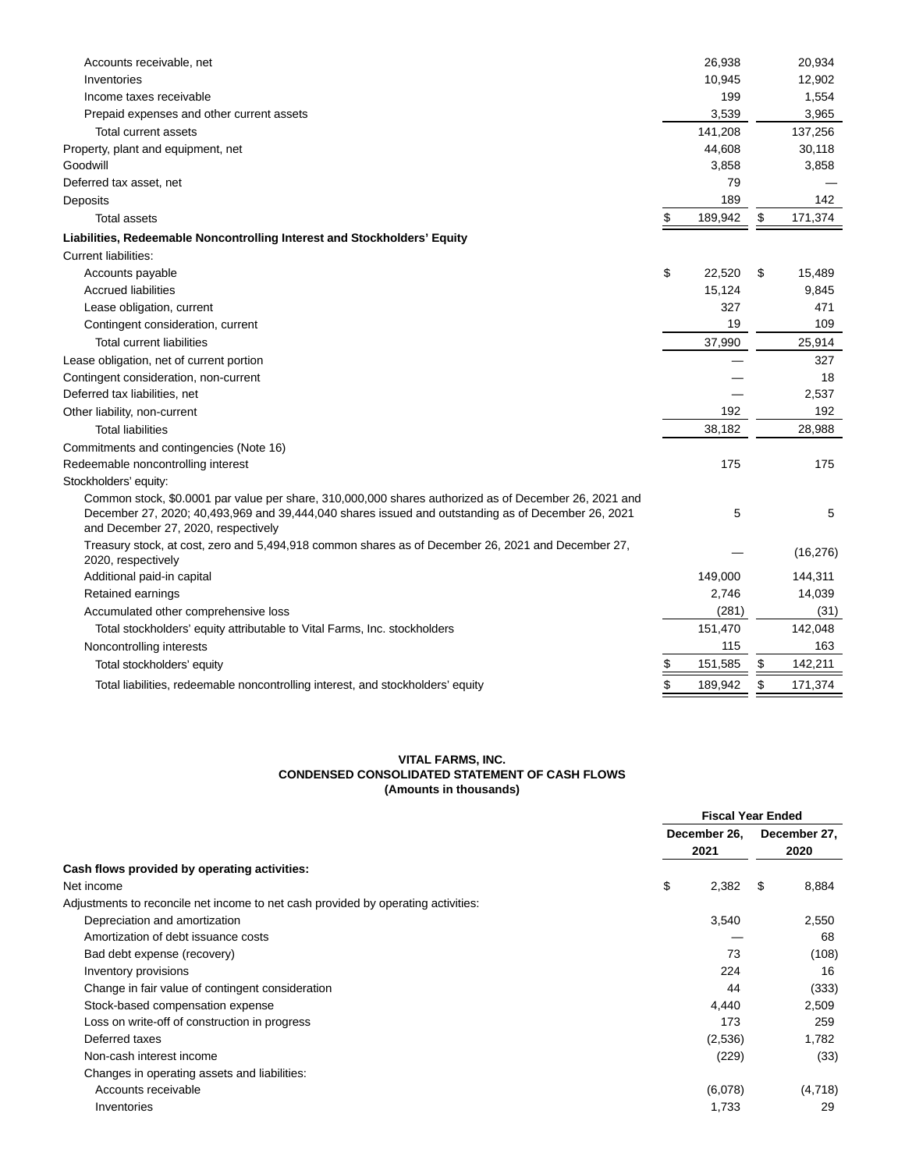| Accounts receivable, net                                                                                                                                                                                                                           | 26,938        | 20,934        |
|----------------------------------------------------------------------------------------------------------------------------------------------------------------------------------------------------------------------------------------------------|---------------|---------------|
| Inventories                                                                                                                                                                                                                                        | 10,945        | 12,902        |
| Income taxes receivable                                                                                                                                                                                                                            | 199           | 1,554         |
| Prepaid expenses and other current assets                                                                                                                                                                                                          | 3,539         | 3,965         |
| Total current assets                                                                                                                                                                                                                               | 141,208       | 137,256       |
| Property, plant and equipment, net                                                                                                                                                                                                                 | 44,608        | 30,118        |
| Goodwill                                                                                                                                                                                                                                           | 3,858         | 3,858         |
| Deferred tax asset, net                                                                                                                                                                                                                            | 79            |               |
| Deposits                                                                                                                                                                                                                                           | 189           | 142           |
| <b>Total assets</b>                                                                                                                                                                                                                                | \$<br>189,942 | \$<br>171,374 |
| Liabilities, Redeemable Noncontrolling Interest and Stockholders' Equity                                                                                                                                                                           |               |               |
| Current liabilities:                                                                                                                                                                                                                               |               |               |
| Accounts payable                                                                                                                                                                                                                                   | \$<br>22,520  | \$<br>15,489  |
| <b>Accrued liabilities</b>                                                                                                                                                                                                                         | 15,124        | 9,845         |
| Lease obligation, current                                                                                                                                                                                                                          | 327           | 471           |
| Contingent consideration, current                                                                                                                                                                                                                  | 19            | 109           |
| <b>Total current liabilities</b>                                                                                                                                                                                                                   | 37,990        | 25,914        |
| Lease obligation, net of current portion                                                                                                                                                                                                           |               | 327           |
| Contingent consideration, non-current                                                                                                                                                                                                              |               | 18            |
| Deferred tax liabilities, net                                                                                                                                                                                                                      |               | 2,537         |
| Other liability, non-current                                                                                                                                                                                                                       | 192           | 192           |
| <b>Total liabilities</b>                                                                                                                                                                                                                           | 38.182        | 28,988        |
| Commitments and contingencies (Note 16)                                                                                                                                                                                                            |               |               |
| Redeemable noncontrolling interest                                                                                                                                                                                                                 | 175           | 175           |
| Stockholders' equity:                                                                                                                                                                                                                              |               |               |
| Common stock, \$0.0001 par value per share, 310,000,000 shares authorized as of December 26, 2021 and<br>December 27, 2020; 40,493,969 and 39,444,040 shares issued and outstanding as of December 26, 2021<br>and December 27, 2020, respectively | 5             | 5             |
| Treasury stock, at cost, zero and 5,494,918 common shares as of December 26, 2021 and December 27,<br>2020, respectively                                                                                                                           |               | (16, 276)     |
| Additional paid-in capital                                                                                                                                                                                                                         | 149,000       | 144,311       |
| Retained earnings                                                                                                                                                                                                                                  | 2,746         | 14,039        |
| Accumulated other comprehensive loss                                                                                                                                                                                                               | (281)         | (31)          |
| Total stockholders' equity attributable to Vital Farms, Inc. stockholders                                                                                                                                                                          | 151,470       | 142,048       |
| Noncontrolling interests                                                                                                                                                                                                                           | 115           | 163           |
| Total stockholders' equity                                                                                                                                                                                                                         | \$<br>151,585 | \$<br>142,211 |
| Total liabilities, redeemable noncontrolling interest, and stockholders' equity                                                                                                                                                                    | \$<br>189,942 | \$<br>171,374 |
|                                                                                                                                                                                                                                                    |               |               |

# **VITAL FARMS, INC. CONDENSED CONSOLIDATED STATEMENT OF CASH FLOWS (Amounts in thousands)**

| December 26,<br>2021<br>2020<br>Cash flows provided by operating activities:<br>\$<br>Net income<br>2,382<br>S<br>8,884<br>Adjustments to reconcile net income to net cash provided by operating activities:<br>Depreciation and amortization<br>3,540<br>2,550<br>Amortization of debt issuance costs<br>68<br>73<br>Bad debt expense (recovery)<br>Inventory provisions<br>224<br>16<br>Change in fair value of contingent consideration<br>(333)<br>44<br>Stock-based compensation expense<br>2,509<br>4,440<br>Loss on write-off of construction in progress<br>173<br>259<br>Deferred taxes<br>(2,536)<br>1,782<br>Non-cash interest income<br>(229)<br>(33)<br>Changes in operating assets and liabilities: |  | <b>Fiscal Year Ended</b> |              |         |
|-------------------------------------------------------------------------------------------------------------------------------------------------------------------------------------------------------------------------------------------------------------------------------------------------------------------------------------------------------------------------------------------------------------------------------------------------------------------------------------------------------------------------------------------------------------------------------------------------------------------------------------------------------------------------------------------------------------------|--|--------------------------|--------------|---------|
|                                                                                                                                                                                                                                                                                                                                                                                                                                                                                                                                                                                                                                                                                                                   |  |                          | December 27, |         |
|                                                                                                                                                                                                                                                                                                                                                                                                                                                                                                                                                                                                                                                                                                                   |  |                          |              |         |
|                                                                                                                                                                                                                                                                                                                                                                                                                                                                                                                                                                                                                                                                                                                   |  |                          |              |         |
|                                                                                                                                                                                                                                                                                                                                                                                                                                                                                                                                                                                                                                                                                                                   |  |                          |              |         |
|                                                                                                                                                                                                                                                                                                                                                                                                                                                                                                                                                                                                                                                                                                                   |  |                          |              |         |
|                                                                                                                                                                                                                                                                                                                                                                                                                                                                                                                                                                                                                                                                                                                   |  |                          |              |         |
|                                                                                                                                                                                                                                                                                                                                                                                                                                                                                                                                                                                                                                                                                                                   |  |                          |              |         |
|                                                                                                                                                                                                                                                                                                                                                                                                                                                                                                                                                                                                                                                                                                                   |  |                          |              | (108)   |
|                                                                                                                                                                                                                                                                                                                                                                                                                                                                                                                                                                                                                                                                                                                   |  |                          |              |         |
|                                                                                                                                                                                                                                                                                                                                                                                                                                                                                                                                                                                                                                                                                                                   |  |                          |              |         |
|                                                                                                                                                                                                                                                                                                                                                                                                                                                                                                                                                                                                                                                                                                                   |  |                          |              |         |
|                                                                                                                                                                                                                                                                                                                                                                                                                                                                                                                                                                                                                                                                                                                   |  |                          |              |         |
|                                                                                                                                                                                                                                                                                                                                                                                                                                                                                                                                                                                                                                                                                                                   |  |                          |              |         |
|                                                                                                                                                                                                                                                                                                                                                                                                                                                                                                                                                                                                                                                                                                                   |  |                          |              |         |
|                                                                                                                                                                                                                                                                                                                                                                                                                                                                                                                                                                                                                                                                                                                   |  |                          |              |         |
| Accounts receivable<br>(6,078)                                                                                                                                                                                                                                                                                                                                                                                                                                                                                                                                                                                                                                                                                    |  |                          |              | (4,718) |
| Inventories<br>29<br>1,733                                                                                                                                                                                                                                                                                                                                                                                                                                                                                                                                                                                                                                                                                        |  |                          |              |         |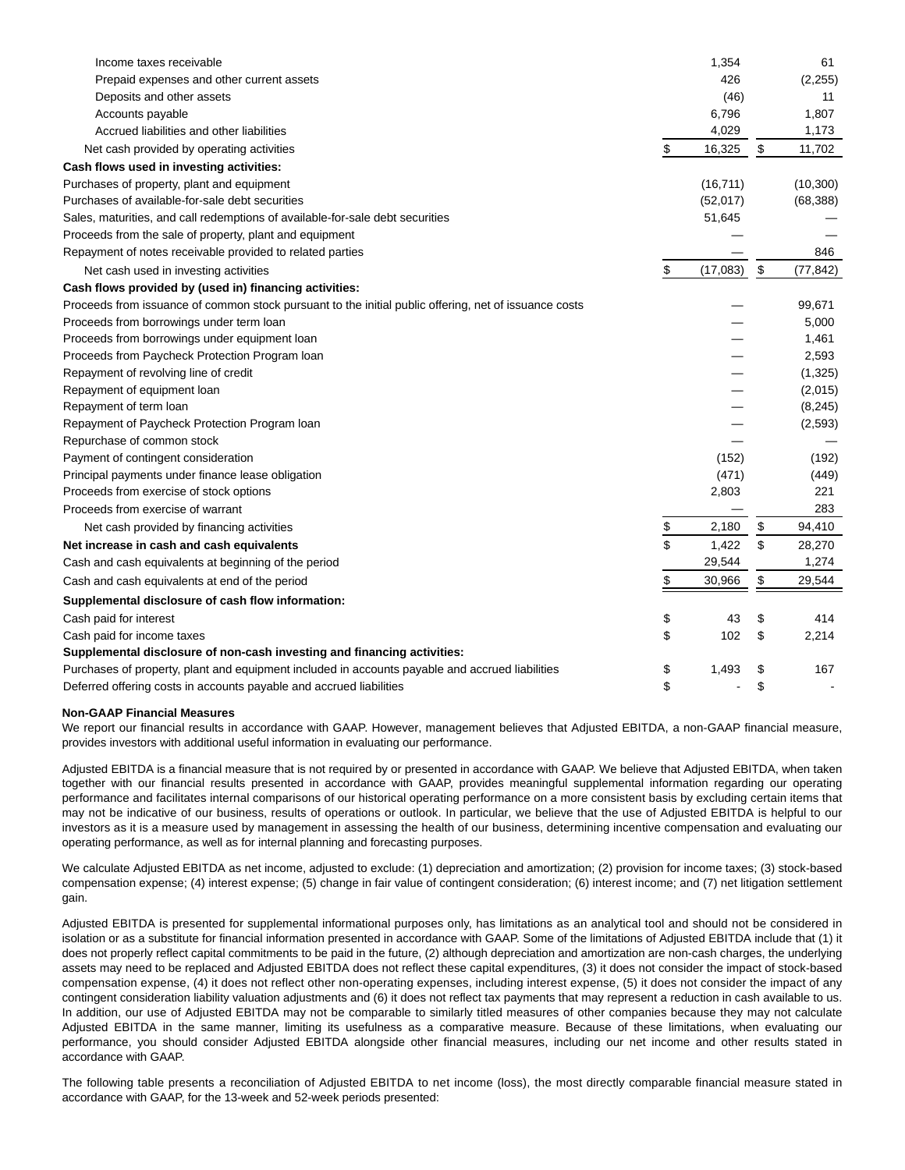| 426<br>Prepaid expenses and other current assets<br>(2, 255)<br>Deposits and other assets<br>(46)<br>11<br>6,796<br>1,807<br>Accounts payable<br>4,029<br>1,173<br>Accrued liabilities and other liabilities<br>\$<br>\$<br>16,325<br>11,702<br>Net cash provided by operating activities<br>Cash flows used in investing activities:<br>Purchases of property, plant and equipment<br>(16, 711)<br>(10, 300)<br>Purchases of available-for-sale debt securities<br>(52,017)<br>(68, 388)<br>Sales, maturities, and call redemptions of available-for-sale debt securities<br>51,645<br>Proceeds from the sale of property, plant and equipment<br>846<br>Repayment of notes receivable provided to related parties<br>\$<br>\$<br>(17,083)<br>(77, 842)<br>Net cash used in investing activities<br>Cash flows provided by (used in) financing activities:<br>Proceeds from issuance of common stock pursuant to the initial public offering, net of issuance costs<br>99,671<br>Proceeds from borrowings under term loan<br>5,000<br>Proceeds from borrowings under equipment loan<br>1,461<br>Proceeds from Paycheck Protection Program Ioan<br>2,593<br>Repayment of revolving line of credit<br>(1, 325)<br>Repayment of equipment loan<br>(2,015)<br>(8, 245)<br>Repayment of term loan<br>(2, 593)<br>Repayment of Paycheck Protection Program Ioan<br>Repurchase of common stock<br>Payment of contingent consideration<br>(152)<br>(192)<br>(471)<br>Principal payments under finance lease obligation<br>(449)<br>2,803<br>221<br>Proceeds from exercise of stock options<br>283<br>Proceeds from exercise of warrant<br>\$<br>2,180<br>\$<br>94,410<br>Net cash provided by financing activities<br>\$<br>1,422<br>\$<br>Net increase in cash and cash equivalents<br>28,270<br>1,274<br>29,544<br>Cash and cash equivalents at beginning of the period<br>\$<br>\$<br>30,966<br>29,544<br>Cash and cash equivalents at end of the period<br>Supplemental disclosure of cash flow information:<br>\$<br>Cash paid for interest<br>43<br>\$<br>414<br>\$<br>\$<br>Cash paid for income taxes<br>102<br>2,214<br>Supplemental disclosure of non-cash investing and financing activities:<br>Purchases of property, plant and equipment included in accounts payable and accrued liabilities<br>\$<br>1,493<br>167<br>\$<br>\$<br>\$<br>Deferred offering costs in accounts payable and accrued liabilities | Income taxes receivable | 1,354 | 61 |
|---------------------------------------------------------------------------------------------------------------------------------------------------------------------------------------------------------------------------------------------------------------------------------------------------------------------------------------------------------------------------------------------------------------------------------------------------------------------------------------------------------------------------------------------------------------------------------------------------------------------------------------------------------------------------------------------------------------------------------------------------------------------------------------------------------------------------------------------------------------------------------------------------------------------------------------------------------------------------------------------------------------------------------------------------------------------------------------------------------------------------------------------------------------------------------------------------------------------------------------------------------------------------------------------------------------------------------------------------------------------------------------------------------------------------------------------------------------------------------------------------------------------------------------------------------------------------------------------------------------------------------------------------------------------------------------------------------------------------------------------------------------------------------------------------------------------------------------------------------------------------------------------------------------------------------------------------------------------------------------------------------------------------------------------------------------------------------------------------------------------------------------------------------------------------------------------------------------------------------------------------------------------------------------------------------------------------------------------------------------------------------------------------------------------|-------------------------|-------|----|
|                                                                                                                                                                                                                                                                                                                                                                                                                                                                                                                                                                                                                                                                                                                                                                                                                                                                                                                                                                                                                                                                                                                                                                                                                                                                                                                                                                                                                                                                                                                                                                                                                                                                                                                                                                                                                                                                                                                                                                                                                                                                                                                                                                                                                                                                                                                                                                                                                     |                         |       |    |
|                                                                                                                                                                                                                                                                                                                                                                                                                                                                                                                                                                                                                                                                                                                                                                                                                                                                                                                                                                                                                                                                                                                                                                                                                                                                                                                                                                                                                                                                                                                                                                                                                                                                                                                                                                                                                                                                                                                                                                                                                                                                                                                                                                                                                                                                                                                                                                                                                     |                         |       |    |
|                                                                                                                                                                                                                                                                                                                                                                                                                                                                                                                                                                                                                                                                                                                                                                                                                                                                                                                                                                                                                                                                                                                                                                                                                                                                                                                                                                                                                                                                                                                                                                                                                                                                                                                                                                                                                                                                                                                                                                                                                                                                                                                                                                                                                                                                                                                                                                                                                     |                         |       |    |
|                                                                                                                                                                                                                                                                                                                                                                                                                                                                                                                                                                                                                                                                                                                                                                                                                                                                                                                                                                                                                                                                                                                                                                                                                                                                                                                                                                                                                                                                                                                                                                                                                                                                                                                                                                                                                                                                                                                                                                                                                                                                                                                                                                                                                                                                                                                                                                                                                     |                         |       |    |
|                                                                                                                                                                                                                                                                                                                                                                                                                                                                                                                                                                                                                                                                                                                                                                                                                                                                                                                                                                                                                                                                                                                                                                                                                                                                                                                                                                                                                                                                                                                                                                                                                                                                                                                                                                                                                                                                                                                                                                                                                                                                                                                                                                                                                                                                                                                                                                                                                     |                         |       |    |
|                                                                                                                                                                                                                                                                                                                                                                                                                                                                                                                                                                                                                                                                                                                                                                                                                                                                                                                                                                                                                                                                                                                                                                                                                                                                                                                                                                                                                                                                                                                                                                                                                                                                                                                                                                                                                                                                                                                                                                                                                                                                                                                                                                                                                                                                                                                                                                                                                     |                         |       |    |
|                                                                                                                                                                                                                                                                                                                                                                                                                                                                                                                                                                                                                                                                                                                                                                                                                                                                                                                                                                                                                                                                                                                                                                                                                                                                                                                                                                                                                                                                                                                                                                                                                                                                                                                                                                                                                                                                                                                                                                                                                                                                                                                                                                                                                                                                                                                                                                                                                     |                         |       |    |
|                                                                                                                                                                                                                                                                                                                                                                                                                                                                                                                                                                                                                                                                                                                                                                                                                                                                                                                                                                                                                                                                                                                                                                                                                                                                                                                                                                                                                                                                                                                                                                                                                                                                                                                                                                                                                                                                                                                                                                                                                                                                                                                                                                                                                                                                                                                                                                                                                     |                         |       |    |
|                                                                                                                                                                                                                                                                                                                                                                                                                                                                                                                                                                                                                                                                                                                                                                                                                                                                                                                                                                                                                                                                                                                                                                                                                                                                                                                                                                                                                                                                                                                                                                                                                                                                                                                                                                                                                                                                                                                                                                                                                                                                                                                                                                                                                                                                                                                                                                                                                     |                         |       |    |
|                                                                                                                                                                                                                                                                                                                                                                                                                                                                                                                                                                                                                                                                                                                                                                                                                                                                                                                                                                                                                                                                                                                                                                                                                                                                                                                                                                                                                                                                                                                                                                                                                                                                                                                                                                                                                                                                                                                                                                                                                                                                                                                                                                                                                                                                                                                                                                                                                     |                         |       |    |
|                                                                                                                                                                                                                                                                                                                                                                                                                                                                                                                                                                                                                                                                                                                                                                                                                                                                                                                                                                                                                                                                                                                                                                                                                                                                                                                                                                                                                                                                                                                                                                                                                                                                                                                                                                                                                                                                                                                                                                                                                                                                                                                                                                                                                                                                                                                                                                                                                     |                         |       |    |
|                                                                                                                                                                                                                                                                                                                                                                                                                                                                                                                                                                                                                                                                                                                                                                                                                                                                                                                                                                                                                                                                                                                                                                                                                                                                                                                                                                                                                                                                                                                                                                                                                                                                                                                                                                                                                                                                                                                                                                                                                                                                                                                                                                                                                                                                                                                                                                                                                     |                         |       |    |
|                                                                                                                                                                                                                                                                                                                                                                                                                                                                                                                                                                                                                                                                                                                                                                                                                                                                                                                                                                                                                                                                                                                                                                                                                                                                                                                                                                                                                                                                                                                                                                                                                                                                                                                                                                                                                                                                                                                                                                                                                                                                                                                                                                                                                                                                                                                                                                                                                     |                         |       |    |
|                                                                                                                                                                                                                                                                                                                                                                                                                                                                                                                                                                                                                                                                                                                                                                                                                                                                                                                                                                                                                                                                                                                                                                                                                                                                                                                                                                                                                                                                                                                                                                                                                                                                                                                                                                                                                                                                                                                                                                                                                                                                                                                                                                                                                                                                                                                                                                                                                     |                         |       |    |
|                                                                                                                                                                                                                                                                                                                                                                                                                                                                                                                                                                                                                                                                                                                                                                                                                                                                                                                                                                                                                                                                                                                                                                                                                                                                                                                                                                                                                                                                                                                                                                                                                                                                                                                                                                                                                                                                                                                                                                                                                                                                                                                                                                                                                                                                                                                                                                                                                     |                         |       |    |
|                                                                                                                                                                                                                                                                                                                                                                                                                                                                                                                                                                                                                                                                                                                                                                                                                                                                                                                                                                                                                                                                                                                                                                                                                                                                                                                                                                                                                                                                                                                                                                                                                                                                                                                                                                                                                                                                                                                                                                                                                                                                                                                                                                                                                                                                                                                                                                                                                     |                         |       |    |
|                                                                                                                                                                                                                                                                                                                                                                                                                                                                                                                                                                                                                                                                                                                                                                                                                                                                                                                                                                                                                                                                                                                                                                                                                                                                                                                                                                                                                                                                                                                                                                                                                                                                                                                                                                                                                                                                                                                                                                                                                                                                                                                                                                                                                                                                                                                                                                                                                     |                         |       |    |
|                                                                                                                                                                                                                                                                                                                                                                                                                                                                                                                                                                                                                                                                                                                                                                                                                                                                                                                                                                                                                                                                                                                                                                                                                                                                                                                                                                                                                                                                                                                                                                                                                                                                                                                                                                                                                                                                                                                                                                                                                                                                                                                                                                                                                                                                                                                                                                                                                     |                         |       |    |
|                                                                                                                                                                                                                                                                                                                                                                                                                                                                                                                                                                                                                                                                                                                                                                                                                                                                                                                                                                                                                                                                                                                                                                                                                                                                                                                                                                                                                                                                                                                                                                                                                                                                                                                                                                                                                                                                                                                                                                                                                                                                                                                                                                                                                                                                                                                                                                                                                     |                         |       |    |
|                                                                                                                                                                                                                                                                                                                                                                                                                                                                                                                                                                                                                                                                                                                                                                                                                                                                                                                                                                                                                                                                                                                                                                                                                                                                                                                                                                                                                                                                                                                                                                                                                                                                                                                                                                                                                                                                                                                                                                                                                                                                                                                                                                                                                                                                                                                                                                                                                     |                         |       |    |
|                                                                                                                                                                                                                                                                                                                                                                                                                                                                                                                                                                                                                                                                                                                                                                                                                                                                                                                                                                                                                                                                                                                                                                                                                                                                                                                                                                                                                                                                                                                                                                                                                                                                                                                                                                                                                                                                                                                                                                                                                                                                                                                                                                                                                                                                                                                                                                                                                     |                         |       |    |
|                                                                                                                                                                                                                                                                                                                                                                                                                                                                                                                                                                                                                                                                                                                                                                                                                                                                                                                                                                                                                                                                                                                                                                                                                                                                                                                                                                                                                                                                                                                                                                                                                                                                                                                                                                                                                                                                                                                                                                                                                                                                                                                                                                                                                                                                                                                                                                                                                     |                         |       |    |
|                                                                                                                                                                                                                                                                                                                                                                                                                                                                                                                                                                                                                                                                                                                                                                                                                                                                                                                                                                                                                                                                                                                                                                                                                                                                                                                                                                                                                                                                                                                                                                                                                                                                                                                                                                                                                                                                                                                                                                                                                                                                                                                                                                                                                                                                                                                                                                                                                     |                         |       |    |
|                                                                                                                                                                                                                                                                                                                                                                                                                                                                                                                                                                                                                                                                                                                                                                                                                                                                                                                                                                                                                                                                                                                                                                                                                                                                                                                                                                                                                                                                                                                                                                                                                                                                                                                                                                                                                                                                                                                                                                                                                                                                                                                                                                                                                                                                                                                                                                                                                     |                         |       |    |
|                                                                                                                                                                                                                                                                                                                                                                                                                                                                                                                                                                                                                                                                                                                                                                                                                                                                                                                                                                                                                                                                                                                                                                                                                                                                                                                                                                                                                                                                                                                                                                                                                                                                                                                                                                                                                                                                                                                                                                                                                                                                                                                                                                                                                                                                                                                                                                                                                     |                         |       |    |
|                                                                                                                                                                                                                                                                                                                                                                                                                                                                                                                                                                                                                                                                                                                                                                                                                                                                                                                                                                                                                                                                                                                                                                                                                                                                                                                                                                                                                                                                                                                                                                                                                                                                                                                                                                                                                                                                                                                                                                                                                                                                                                                                                                                                                                                                                                                                                                                                                     |                         |       |    |
|                                                                                                                                                                                                                                                                                                                                                                                                                                                                                                                                                                                                                                                                                                                                                                                                                                                                                                                                                                                                                                                                                                                                                                                                                                                                                                                                                                                                                                                                                                                                                                                                                                                                                                                                                                                                                                                                                                                                                                                                                                                                                                                                                                                                                                                                                                                                                                                                                     |                         |       |    |
|                                                                                                                                                                                                                                                                                                                                                                                                                                                                                                                                                                                                                                                                                                                                                                                                                                                                                                                                                                                                                                                                                                                                                                                                                                                                                                                                                                                                                                                                                                                                                                                                                                                                                                                                                                                                                                                                                                                                                                                                                                                                                                                                                                                                                                                                                                                                                                                                                     |                         |       |    |
|                                                                                                                                                                                                                                                                                                                                                                                                                                                                                                                                                                                                                                                                                                                                                                                                                                                                                                                                                                                                                                                                                                                                                                                                                                                                                                                                                                                                                                                                                                                                                                                                                                                                                                                                                                                                                                                                                                                                                                                                                                                                                                                                                                                                                                                                                                                                                                                                                     |                         |       |    |
|                                                                                                                                                                                                                                                                                                                                                                                                                                                                                                                                                                                                                                                                                                                                                                                                                                                                                                                                                                                                                                                                                                                                                                                                                                                                                                                                                                                                                                                                                                                                                                                                                                                                                                                                                                                                                                                                                                                                                                                                                                                                                                                                                                                                                                                                                                                                                                                                                     |                         |       |    |
|                                                                                                                                                                                                                                                                                                                                                                                                                                                                                                                                                                                                                                                                                                                                                                                                                                                                                                                                                                                                                                                                                                                                                                                                                                                                                                                                                                                                                                                                                                                                                                                                                                                                                                                                                                                                                                                                                                                                                                                                                                                                                                                                                                                                                                                                                                                                                                                                                     |                         |       |    |
|                                                                                                                                                                                                                                                                                                                                                                                                                                                                                                                                                                                                                                                                                                                                                                                                                                                                                                                                                                                                                                                                                                                                                                                                                                                                                                                                                                                                                                                                                                                                                                                                                                                                                                                                                                                                                                                                                                                                                                                                                                                                                                                                                                                                                                                                                                                                                                                                                     |                         |       |    |
|                                                                                                                                                                                                                                                                                                                                                                                                                                                                                                                                                                                                                                                                                                                                                                                                                                                                                                                                                                                                                                                                                                                                                                                                                                                                                                                                                                                                                                                                                                                                                                                                                                                                                                                                                                                                                                                                                                                                                                                                                                                                                                                                                                                                                                                                                                                                                                                                                     |                         |       |    |
|                                                                                                                                                                                                                                                                                                                                                                                                                                                                                                                                                                                                                                                                                                                                                                                                                                                                                                                                                                                                                                                                                                                                                                                                                                                                                                                                                                                                                                                                                                                                                                                                                                                                                                                                                                                                                                                                                                                                                                                                                                                                                                                                                                                                                                                                                                                                                                                                                     |                         |       |    |
|                                                                                                                                                                                                                                                                                                                                                                                                                                                                                                                                                                                                                                                                                                                                                                                                                                                                                                                                                                                                                                                                                                                                                                                                                                                                                                                                                                                                                                                                                                                                                                                                                                                                                                                                                                                                                                                                                                                                                                                                                                                                                                                                                                                                                                                                                                                                                                                                                     |                         |       |    |
|                                                                                                                                                                                                                                                                                                                                                                                                                                                                                                                                                                                                                                                                                                                                                                                                                                                                                                                                                                                                                                                                                                                                                                                                                                                                                                                                                                                                                                                                                                                                                                                                                                                                                                                                                                                                                                                                                                                                                                                                                                                                                                                                                                                                                                                                                                                                                                                                                     |                         |       |    |

#### **Non-GAAP Financial Measures**

We report our financial results in accordance with GAAP. However, management believes that Adjusted EBITDA, a non-GAAP financial measure, provides investors with additional useful information in evaluating our performance.

Adjusted EBITDA is a financial measure that is not required by or presented in accordance with GAAP. We believe that Adjusted EBITDA, when taken together with our financial results presented in accordance with GAAP, provides meaningful supplemental information regarding our operating performance and facilitates internal comparisons of our historical operating performance on a more consistent basis by excluding certain items that may not be indicative of our business, results of operations or outlook. In particular, we believe that the use of Adjusted EBITDA is helpful to our investors as it is a measure used by management in assessing the health of our business, determining incentive compensation and evaluating our operating performance, as well as for internal planning and forecasting purposes.

We calculate Adjusted EBITDA as net income, adjusted to exclude: (1) depreciation and amortization; (2) provision for income taxes; (3) stock-based compensation expense; (4) interest expense; (5) change in fair value of contingent consideration; (6) interest income; and (7) net litigation settlement gain.

Adjusted EBITDA is presented for supplemental informational purposes only, has limitations as an analytical tool and should not be considered in isolation or as a substitute for financial information presented in accordance with GAAP. Some of the limitations of Adjusted EBITDA include that (1) it does not properly reflect capital commitments to be paid in the future, (2) although depreciation and amortization are non-cash charges, the underlying assets may need to be replaced and Adjusted EBITDA does not reflect these capital expenditures, (3) it does not consider the impact of stock-based compensation expense, (4) it does not reflect other non-operating expenses, including interest expense, (5) it does not consider the impact of any contingent consideration liability valuation adjustments and (6) it does not reflect tax payments that may represent a reduction in cash available to us. In addition, our use of Adjusted EBITDA may not be comparable to similarly titled measures of other companies because they may not calculate Adjusted EBITDA in the same manner, limiting its usefulness as a comparative measure. Because of these limitations, when evaluating our performance, you should consider Adjusted EBITDA alongside other financial measures, including our net income and other results stated in accordance with GAAP.

The following table presents a reconciliation of Adjusted EBITDA to net income (loss), the most directly comparable financial measure stated in accordance with GAAP, for the 13-week and 52-week periods presented: